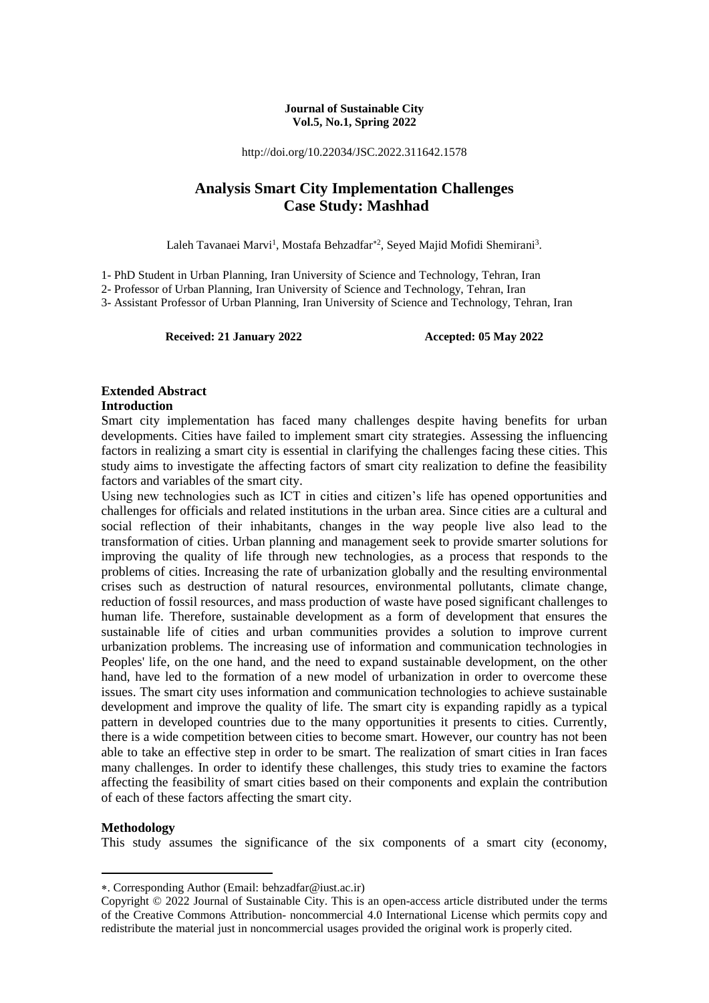#### **Journal of Sustainable City Vol.5, No.1, Spring 2022**

http://doi.org/10.22034/JSC.2022.311642.1578

## **Analysis Smart City Implementation Challenges Case Study: Mashhad**

Laleh Tavanaei Marvi<sup>1</sup>, Mostafa Behzadfar<sup>\*2</sup>, Seyed Majid Mofidi Shemirani<sup>3</sup>.

1- PhD Student in Urban Planning, Iran University of Science and Technology, Tehran, Iran

2- Professor of Urban Planning, Iran University of Science and Technology, Tehran, Iran

3- Assistant Professor of Urban Planning, Iran University of Science and Technology, Tehran, Iran

**Received: 21 January 2022 Accepted: 05 May 2022**

## **Extended Abstract**

#### **Introduction**

Smart city implementation has faced many challenges despite having benefits for urban developments. Cities have failed to implement smart city strategies. Assessing the influencing factors in realizing a smart city is essential in clarifying the challenges facing these cities. This study aims to investigate the affecting factors of smart city realization to define the feasibility factors and variables of the smart city.

Using new technologies such as ICT in cities and citizen's life has opened opportunities and challenges for officials and related institutions in the urban area. Since cities are a cultural and social reflection of their inhabitants, changes in the way people live also lead to the transformation of cities. Urban planning and management seek to provide smarter solutions for improving the quality of life through new technologies, as a process that responds to the problems of cities. Increasing the rate of urbanization globally and the resulting environmental crises such as destruction of natural resources, environmental pollutants, climate change, reduction of fossil resources, and mass production of waste have posed significant challenges to human life. Therefore, sustainable development as a form of development that ensures the sustainable life of cities and urban communities provides a solution to improve current urbanization problems. The increasing use of information and communication technologies in Peoples' life, on the one hand, and the need to expand sustainable development, on the other hand, have led to the formation of a new model of urbanization in order to overcome these issues. The smart city uses information and communication technologies to achieve sustainable development and improve the quality of life. The smart city is expanding rapidly as a typical pattern in developed countries due to the many opportunities it presents to cities. Currently, there is a wide competition between cities to become smart. However, our country has not been able to take an effective step in order to be smart. The realization of smart cities in Iran faces many challenges. In order to identify these challenges, this study tries to examine the factors affecting the feasibility of smart cities based on their components and explain the contribution of each of these factors affecting the smart city.

#### **Methodology**

**.** 

This study assumes the significance of the six components of a smart city (economy,

<sup>.</sup> Corresponding Author (Email: behzadfar@iust.ac.ir)

Copyright © 2022 Journal of Sustainable City. This is an open-access article distributed under the terms of the Creative Commons Attribution- noncommercial 4.0 International License which permits copy and redistribute the material just in noncommercial usages provided the original work is properly cited.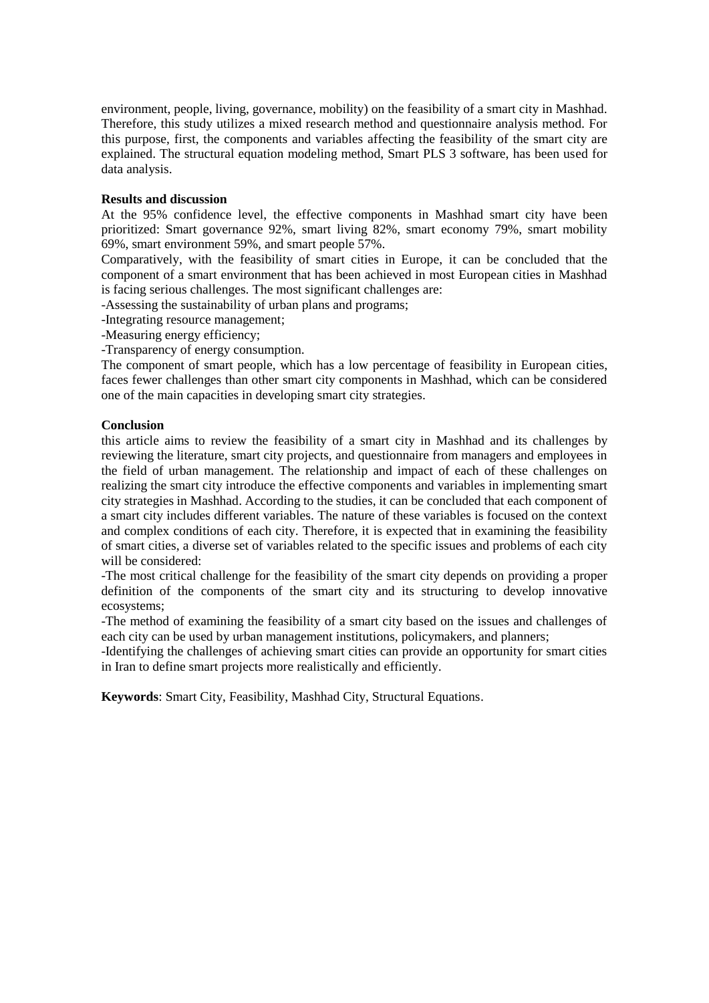environment, people, living, governance, mobility) on the feasibility of a smart city in Mashhad. Therefore, this study utilizes a mixed research method and questionnaire analysis method. For this purpose, first, the components and variables affecting the feasibility of the smart city are explained. The structural equation modeling method, Smart PLS 3 software, has been used for data analysis.

#### **Results and discussion**

At the 95% confidence level, the effective components in Mashhad smart city have been prioritized: Smart governance 92%, smart living 82%, smart economy 79%, smart mobility 69%, smart environment 59%, and smart people 57%.

Comparatively, with the feasibility of smart cities in Europe, it can be concluded that the component of a smart environment that has been achieved in most European cities in Mashhad is facing serious challenges. The most significant challenges are:

-Assessing the sustainability of urban plans and programs;

-Integrating resource management;

-Measuring energy efficiency;

-Transparency of energy consumption.

The component of smart people, which has a low percentage of feasibility in European cities, faces fewer challenges than other smart city components in Mashhad, which can be considered one of the main capacities in developing smart city strategies.

#### **Conclusion**

this article aims to review the feasibility of a smart city in Mashhad and its challenges by reviewing the literature, smart city projects, and questionnaire from managers and employees in the field of urban management. The relationship and impact of each of these challenges on realizing the smart city introduce the effective components and variables in implementing smart city strategies in Mashhad. According to the studies, it can be concluded that each component of a smart city includes different variables. The nature of these variables is focused on the context and complex conditions of each city. Therefore, it is expected that in examining the feasibility of smart cities, a diverse set of variables related to the specific issues and problems of each city will be considered:

-The most critical challenge for the feasibility of the smart city depends on providing a proper definition of the components of the smart city and its structuring to develop innovative ecosystems;

-The method of examining the feasibility of a smart city based on the issues and challenges of each city can be used by urban management institutions, policymakers, and planners;

-Identifying the challenges of achieving smart cities can provide an opportunity for smart cities in Iran to define smart projects more realistically and efficiently.

**Keywords**: Smart City, Feasibility, Mashhad City, Structural Equations.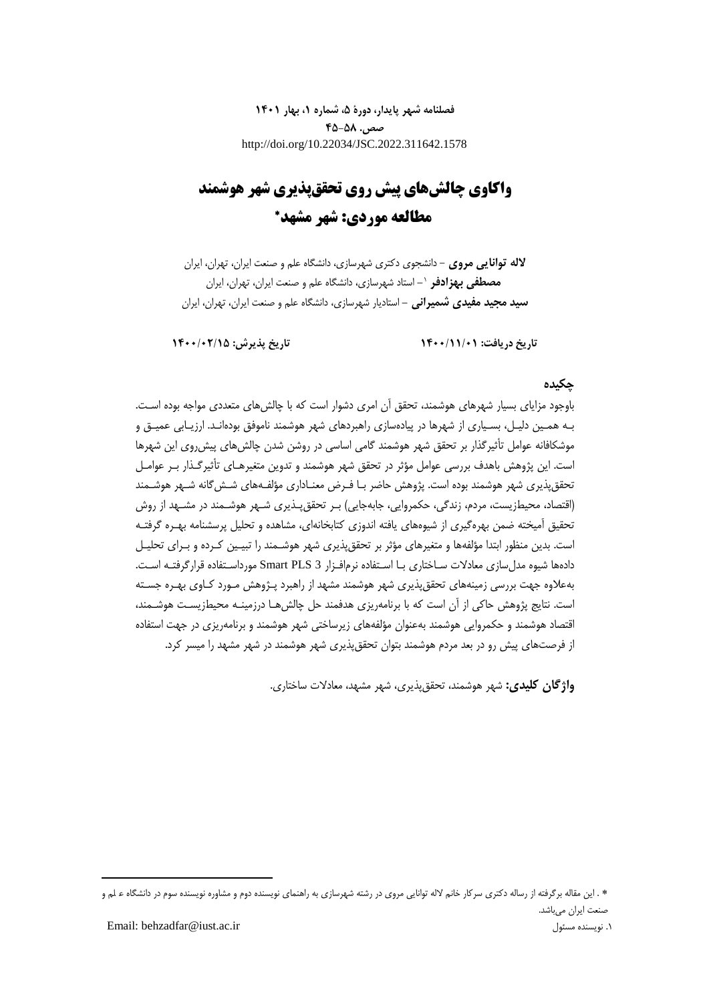**فصلنامه شهر پایدار، دورۀ ،5 شماره ،1 بهار 1401 صص. 45-58** http://doi.org/10.22034/JSC.2022.311642.1578

## **واکاوی چالشهای پیش روی تحققپذیری شهر هوشمند مطالعه موردی: شهر مشهد**

**الله توانایی مروی** - دانشجوی دکتری شهرسازی، دانشگاه علم و صنعت ایران، تهران، ایران **-** استاد شهرسازی، دانشگاه علم و صنعت ایران، تهران، ایران <sup>0</sup> **مصطفی بهزادفر سید مجید مفیدی شمیرانی -** استادیار شهرسازی، دانشگاه علم و صنعت ایران، تهران، ایران

**تاریخ دریافت: 1400/11/01 تاریخ پذیرش: 1400/02/15**

### **چکیده**

باوجود مزایای بسیار شهرهای هوشمند، تحقق آن امری دشوار است که با چالشهای متعددی مواجه بوده اسـت. بـه همـین دلیـل، بسـیاری از شهرها در پیادهسازی راهبردهای شهر هوشمند ناموفق بودهانـد. ارزیـابی عمیـق و موشکافانه عوامل تأثیرگذار بر تحقق شهر هوشمند گامی اساسی در روشن شدن چالشهای پیشروی این شهرها است. این پژوهش باهدف بررسی عوامل مؤثر در تحقق شهر هوشمند و تدوین متغیرهـای تأثیرگـذار بـر عوامـل تحققپذیری شهر هوشمند بوده است. پژوهش حاضر بـا فـر معنـاداری مؤلفـههای شـشگانه شـهر هوشـمند (اقتصاد، محیطزیست، مردم، زندگی، حکمروایی، جابهجایی) بـر تحقق پـذیری شـهر هوشـمند در مشـهد از روش تحقیق آمیخته ضمن بهرهگیری از شیوههای یافته اندوزی کتابخانهای، مشاهده و تحلیل پرسشنامه بهـره گرفتـه است. بدین منظور ابتدا مؤلفهها و متغیرهای مؤثر بر تحققپذیری شهر هوشـمند را تبیـین کـرده و بـرای تحلیـل دادهها شیوه مدلسازی معادالت سـاختاری بـا اسـتفاده نرمافـزار 3 PLS Smart مورداسـتفاده قرارگرفتـه اسـت. بهعالوه جهت بررسی زمینههای تحققپذیری شهر هوشمند مشهد از راهبرد پـژوهش مـورد کـاوی بهـره جسـته است. نتایج پژوهش حاکی از آن است که با برنامهریزی هدفمند حل چالش هـا درزمینـه محیطزیسـت هوشـمند، اقتصاد هوشمند و حکمروایی هوشمند بهعنوان مؤلفههای زیرساختی شهر هوشمند و برنامهریزی در جهت استفاده از فرصتهای پیش رو در بعد مردم هوشمند بتوان تحققپذیری شهر هوشمند در شهر مشهد را میسر کرد.

**واژگان کلیدی:** شهر هوشمند، تحققپذیری، شهر مشهد، معادالت ساختاری.

1

. این مقاله برگرفته از رساله دکتری سرکار خانم الله توانایی مروی در رشته شهرسازی به راهنمای نویسنده دوم و مشاوره نویسنده سوم در دانشگاه ع لم و ر علـم صنعت ایران میباشد.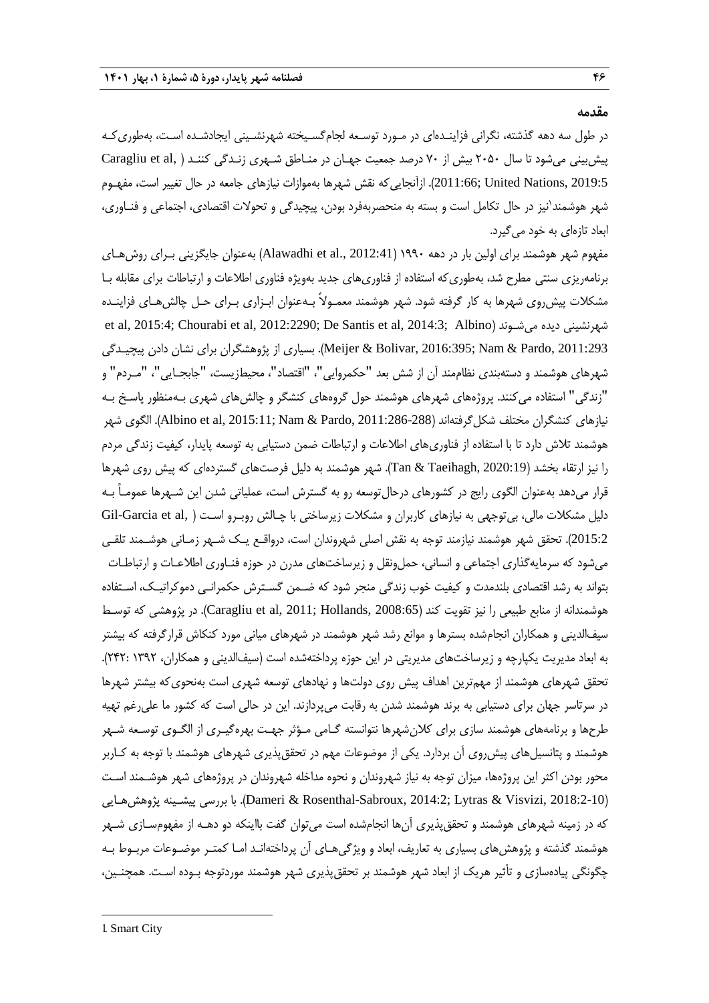#### **مقدمه**

در طول سه دهه گذشته، نگرانی فزاینـدهای در مـورد توسـعه لجامگسـیخته شهرنشـینی ایجادشـده اسـت، بهطوریکـه پیش بینی می شود تا سال ۲۰۵۰ بیش از ۷۰ درصد جمعیت جهـان در منـاطق شـهری زنـدگی کننـد ( ,Caragliu et al 2019:5 ,Nations United; 2011:66). ازآنجاییکه نقش شهرها بهموازات نیازهای جامعه در حال تغییر است، مفهـوم شهر هوشمند<sup>י</sup>نیز در حال تکامل است و بسته به منحصربهفرد بودن، پیچیدگی و تحولات اقتصاد*ی*، اجتماعی و فنـاوری، ابعاد تازهای به خود میگیرد.

مفهوم شهر هوشمند برای اولین بار در دهه ۱۹۹۰ (Alawadhi et al., 2012:41) بهعنوان جایگزینی بـرای روشهـای برنامهریزی سنتی مطرح شد، بهطوریکه استفاده از فناوریهای جدید بهویژه فناوری اطالعات و ارتباطات برای مقابله بـا مشکالت پیشروی شهرها به کار گرفته شود. شهر هوشمند معمـوالً بـهعنوان ابـزاری بـرای حـل چالشهـای فزاینـده et al, 2015:4; Chourabi et al, 2012:2290; De Santis et al, 2014:3; Albino( میشـوند دیده شهرنشینی 2011:293 ,Pardo ,Pardo ,Pheijer & Bolivar, 2016:395). بسیاری از پژوهشگران برای نشان دادن پیچیـدگی شهرهای هوشمند و دستهبندی نظاممند آن از شش بعد "حکمروایی"، "اقتصاد"، محی زیست، "جابجـایی"، "مـردم" و "زندگی" استفاده میکنند. پروژههای شهرهای هوشمند حول گروههای کنشگر و چالشهای شهری بـهمنظور پاسـخ بـه نیازهای کنشگران مختلف شکل گرفتهاند (288-286:11:286 Albino et al, 2015:11; Nam & Pardo, 2011). الگوی شهر هوشمند تالش دارد تا با استفاده از فناوریهای اطالعات و ارتباطات ضمن دستیابی به توسعه پایدار، کیفیت زندگی مردم را نیز ارتقاء بخشد )2020:19 ,Taeihagh & Tan). شهر هوشمند به دلیل فرصتهای گستردهای که پیش روی شهرها قرار میدهد بهعنوان الگوی رایج در کشورهای درحالتوسعه رو به گسترش است، عملیاتی شدن این شـهرها عمومـاً بـه دلیل مشکلات مالی، بیتوجهی به نیازهای کاربران و مشکلات زیرساختی با چـالش روبـرو اسـت ( Gil-Garcia et al, 2015:2(. تحقق شهر هوشمند نیازمند توجه به نقش اصلی شهروندان است، درواقـع یـک شـهر زمـانی هوشـمند تلقـی میشود که سرمایهگذاری اجتماعی و انسانی، حملونقل و زیرساختهای مدرن در حوزه فنـاوری اطالعـات و ارتباطـات بتواند به رشد اقتصادی بلندمدت و کیفیت خوب زندگی منجر شود که ضـمن گسـترش حکمرانـی دموکراتیـک، اسـتفاده هوشمندانه از منابع طبیعی را نیز تقویت کند (Caragliu et al, 2011; Hollands, 2008:65). در پژوهشی که توسـط سیفالدینی و همکاران انجامشده بسترها و موانع رشد شهر هوشمند در شهرهای میانی مورد کنکاش قرارگرفته که بیشتر به ابعاد مدیریت یکپارچه و زیرساختهای مدیریتی در این حوزه پرداختهشده است (سیفالدینی و همکاران، ١٣٩٢ :٢۴٢). تحقق شهرهای هوشمند از مهمترین اهداف پیش روی دولتها و نهادهای توسعه شهری است بهنحویکه بیشتر شهرها در سرتاسر جهان برای دستیابی به برند هوشمند شدن به رقابت میپردازند. این در حالی است که کشور ما علیرغم تهیه طرحها و برنامههای هوشمند سازی برای کالنشهرها نتوانسته گـامی مـؤثر جهـت بهرهگیـری از الگـوی توسـعه شـهر هوشمند و پتانسیلهای پیشروی آن بردارد. یکی از موضوعات مهم در تحققپذیری شهرهای هوشمند با توجه به کـاربر محور بودن اکثر این پروژهها، میزان توجه به نیاز شهروندان و نحوه مداخله شهروندان در پروژههای شهر هوشـمند اسـت پررسی پیشـینه پژوهشهـایی Dameri & Rosenthal-Sabroux, 2014:2; Lytras & Visvizi, 2018:2-10). که در زمینه شهرهای هوشمند و تحققپذیری آنها انجامشده است میتوان گفت بااینکه دو دهـه از مفهومسـازی شـهر هوشمند گذشته و پژوهشهای بسیاری به تعاریف، ابعاد و ویژگیهـای آن پرداختهانـد امـا کمتـر موضـوعات مربـوط بـه چگونگی پیادهسازی و تأثیر هریک از ابعاد شهر هوشمند بر تحققپذیری شهر هوشمند موردتوجه بـوده اسـت. همچنـین،

-1. Smart City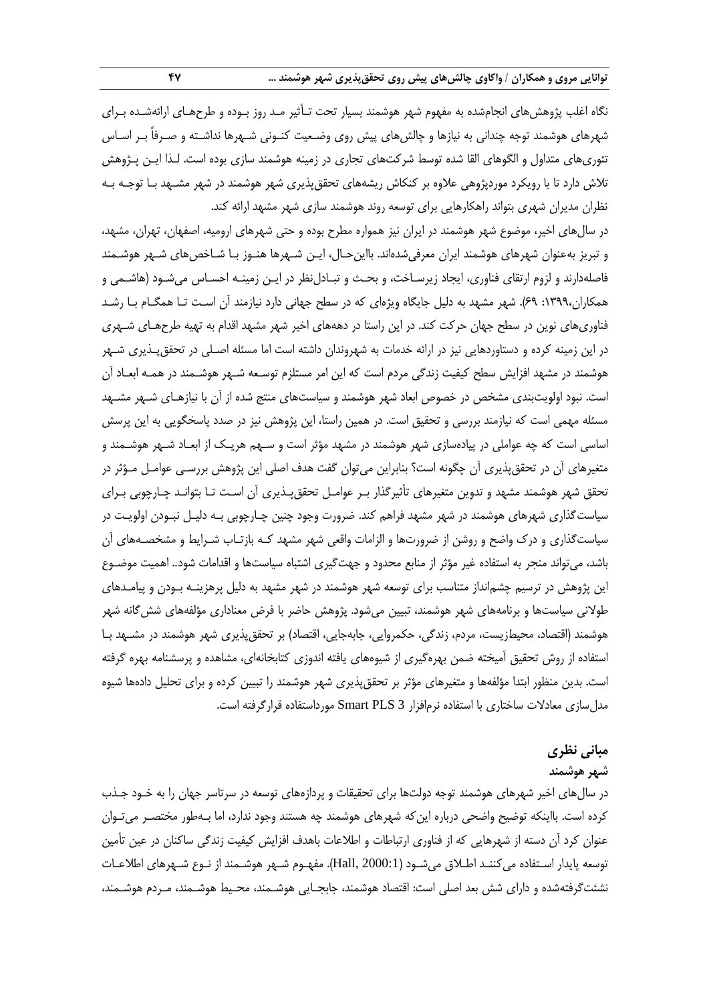نگاه اغلب پژوهشهای انجامشده به مفهوم شهر هوشمند بسیار تحت تـأثیر مـد روز بـوده و طرحهـای ارائهشـده بـرای شهرهای هوشمند توجه چندانی به نیازها و چالشهای پیش روی وضـعیت کنـونی شـهرها نداشـته و صـرفاً بـر اسـاس تئوریهای متداول و الگوهای القا شده توسط شرکتهای تجاری در زمینه هوشمند سازی بوده است. لـذا ایـن پـژوهش تالش دارد تا با رویکرد موردپژوهی عالوه بر کنکاش ریشههای تحققپذیری شهر هوشمند در شهر مشـهد بـا توجـه بـه نظران مدیران شهری بتواند راهکارهایی برای توسعه روند هوشمند سازی شهر مشهد ارائه کند.

در سالهای اخیر، موضوع شهر هوشمند در ایران نیز همواره مطرح بوده و حتی شهرهای ارومیه، اصفهان، تهران، مشهد، و تبریز بهعنوان شهرهای هوشمند ایران معرفیشدهاند. بااینحـال، ایـن شـهرها هنـوز بـا شـاخصهای شـهر هوشـمند فاصلهدارند و لزوم ارتقای فناوری، ایجاد زیرسـاخت، و بحـث و تبـادلنظر در ایـن زمینـه احسـاس میشـود (هاشـمی و همکاران:0333، 13(. شهر مشهد به دلیل جایگاه ویژهای که در سطح جهانی دارد نیازمند آن اسـت تـا همگـام بـا رشـد فناوریهای نوین در سطح جهان حرکت کند. در این راستا در دهههای اخیر شهر مشهد اقدام به تهیه طرحهـای شـهری در این زمینه کرده و دستاوردهایی نیز در ارائه خدمات به شهروندان داشته است اما مسئله اصـلی در تحققپـذیری شـهر هوشمند در مشهد افزایش سطح کیفیت زندگی مردم است که این امر مستلزم توسـعه شـهر هوشـمند در همـه ابعـاد آن است. نبود اولویتبندی مشخص در خصوص ابعاد شهر هوشمند و سیاستهای منتج شده از آن با نیازهـای شـهر مشـهد مسئله مهمی است که نیازمند بررسی و تحقیق است. در همین راستا، این پژوهش نیز در صدد پاسخگویی به این پرسش اساسی است که چه عواملی در پیادهسازی شهر هوشمند در مشهد مؤثر است و سـهم هریـک از ابعـاد شـهر هوشـمند و متغیرهای آن در تحققپذیری آن چگونه است؟ بنابراین میتوان گفت هدف اصلی این پژوهش بررسـی عوامـل مـؤثر در تحقق شهر هوشمند مشهد و تدوین متغیرهای تأثیرگذار بـر عوامـل تحققپـذیری آن اسـت تـا بتوانـد چـارچوبی بـرای سیاستگذاری شهرهای هوشمند در شهر مشهد فراهم کند. ضرورت وجود چنین چـارچوبی بـه دلیـل نبـودن اولویـت در سیاستگذاری و درک واضح و روشن از ضرورتها و الزامات واقعی شهر مشهد کـه بازتـاب شـرایط و مشخصـههای آن باشد، میتواند منجر به استفاده غیر مؤثر از منابع محدود و جهتگیری اشتباه سیاستها و اقدامات شود.. اهمیت موضـوع این پژوهش در ترسیم چشمانداز متناسب برای توسعه شهر هوشمند در شهر مشهد به دلیل پرهزینـه بـودن و پیامـدهای طولانی سیاستها و برنامههای شهر هوشمند، تبیین میشود. پژوهش حاضر با فرض معناداری مؤلفههای شش گانه شهر هوشمند (اقتصاد، محیطزیست، مردم، زندگی، حکمروایی، جابهجایی، اقتصاد) بر تحققپذیری شهر هوشمند در مشـهد بـا استفاده از روش تحقیق آمیخته ضمن بهرهگیری از شیوههای یافته اندوزی کتابخانهای، مشاهده و پرسشنامه بهره گرفته است. بدین منظور ابتدا مؤلفهها و متغیرهای مؤثر بر تحققپذیری شهر هوشمند را تبیین کرده و برای تحلیل دادهها شیوه مدلسازی معادالت ساختاری با استفاده نرمافزار 3 PLS Smart مورداستفاده قرارگرفته است.

## **مبانی نظری**

#### **شهر هوشمند**

در سالهای اخیر شهرهای هوشمند توجه دولتها برای تحقیقات و پردازههای توسعه در سرتاسر جهان را به خـود جـذب کرده است. بااینکه توضیح واضحی درباره اینکه شهرهای هوشمند چه هستند وجود ندارد، اما بـهطور مختصـر میتـوان عنوان کرد آن دسته از شهرهایی که از فناوری ارتباطات و اطالعات باهدف افزایش کیفیت زندگی ساکنان در عین تأمین توسعه پایدار اسـتفاده میکننـد اطـالق میشـود )2000:1 ,Hall). مفهـوم شـهر هوشـمند از نـوع شـهرهای اطالعـات نشئتگرفتهشده و دارای شش بعد اصلی است: اقتصاد هوشمند، جابجـایی هوشـمند، محـیط هوشـمند، مـردم هوشـمند،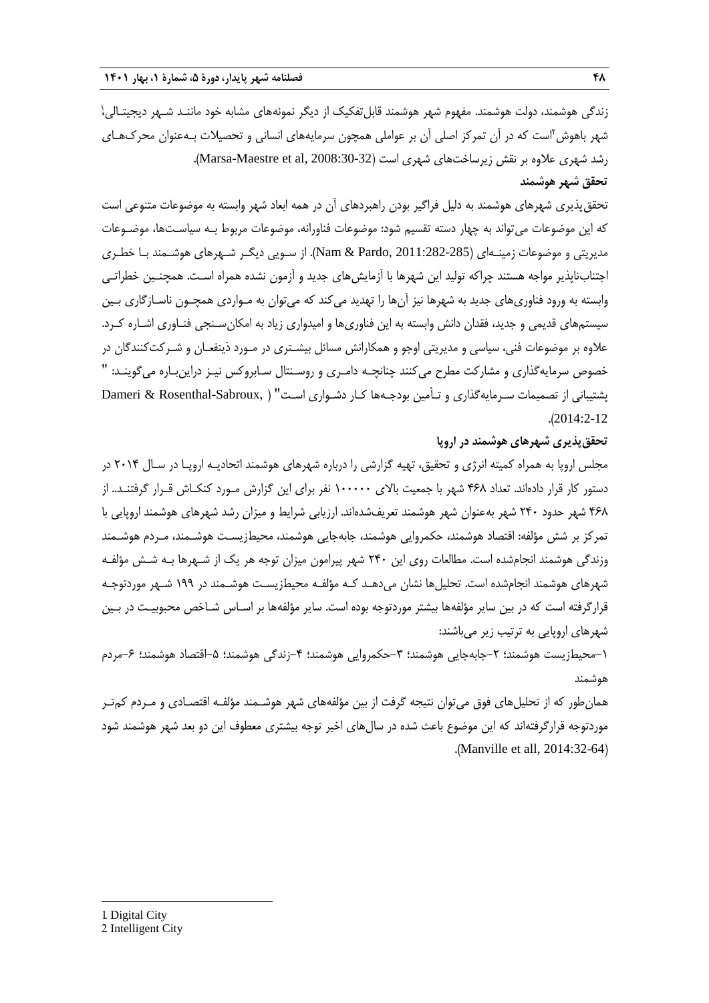زندگی هوشمند، دولت هوشمند. مفهوم شهر هوشمند قابلتفکیک از دیگر نمونههای مشابه خود ماننـد شـهر دیجیتـالی،ٰ شهر باهوش<sup>۲</sup>است که در آن تمرکز اصلی آن بر عواملی همچون سرمایههای انسانی و تحصیلات بـهعنوان محرکـهـای رشد شهری علاوه بر نقش زیرساختهای شهری است (Marsa-Maestre et al, 2008:30-32). **تحقق شهر هوشمند**

تحققپذیری شهرهای هوشمند به دلیل فراگیر بودن راهبردهای آن در همه ابعاد شهر وابسته به موضوعات متنوعی است که این موضوعات میتواند به چهار دسته تقسیم شود: موضوعات فناورانه، موضوعات مربوط بـه سیاسـتها، موضـوعات مدیریتی و موضوعات زمینـهای )2011:282-285 ,Pardo & Nam). از سـویی دیگـر شـهرهای هوشـمند بـا خطـری اجتنابناپذیر مواجه هستند چراکه تولید این شهرها با آزمایشهای جدید و آزمون نشده همراه اسـت. همچنـین خطراتـی وابسته به ورود فناوریهای جدید به شهرها نیز آنها را تهدید میکند که میتوان به مـواردی همچـون ناسـازگاری بـین سیستمهای قدیمی و جدید، فقدان دانش وابسته به این فناوریها و امیدواری زیاد به امکانسـنجی فنـاوری اشـاره کـرد. عالوه بر موضوعات فنی، سیاسی و مدیریتی اوجو و همکارانش مسائل بیشـتری در مـورد ذینفعـان و شـرکتکنندگان در خصوص سرمایهگذاری و مشارکت مطرح میکنند چنانچـه دامـری و روسـنتال سـابروکس نیـز دراینبـاره میگوینـد: " پشتیبانی از تصمیمات سـرمایهگذاری و تـأمین بودجـهها کـار دشـواری اسـت" ( ,Dameri & Rosenthal-Sabroux .)2014:2-12

#### **تحققپذیری شهرهای هوشمند در اروپا**

مجلس اروپا به همراه کمیته انرژی و تحقیق، تهیه گزارشی را درباره شهرهای هوشمند اتحادیـه اروپـا در سـال 5101 در دستور کار قرار دادهاند. تعداد ۴۶۸ شهر با جمعیت بالای ۱۰۰۰۰۰ نفر برای این گزارش مـورد کنکـاش قـرار گرفتنـد.. از ۴۶۸ شهر حدود ۲۴۰ شهر بهعنوان شهر هوشمند تعریفشدهاند. ارزیابی شرایط و میزان رشد شهرهای هوشمند اروپایی با تمرکز بر شش مؤلفه: اقتصاد هوشمند، حکمروایی هوشمند، جابهجایی هوشمند، محیطزیسـت هوشـمند، مـردم هوشـمند وزندگی هوشمند انجامشده است. مطالعات روی این 511 شهر پیرامون میزان توجه هر یک از شـهرها بـه شـش مؤلفـه شهرهای هوشمند انجامشده است. تحلیل ها نشان می دهـد کـه مؤلفـه محیطزیسـت هوشـمند در ١٩٩ شـهر موردتوجـه قرارگرفته است که در بین سایر مؤلفهها بیشتر موردتوجه بوده است. سایر مؤلفهها بر اسـاس شـاخص محبوبیـت در بـین شهرهای اروپایی به ترتیب زیر میباشند:

۱–محیطزیست هوشمند؛ ۲–جابهجایی هوشمند؛ ۳–حکمروایی هوشمند؛ ۴–زندگی هوشمند؛ ۵–اقتصاد هوشمند؛ ۶–مردم هوشمند

همانطور که از تحلیلهای فوق میتوان نتیجه گرفت از بین مؤلفههای شهر هوشـمند مؤلفـه اقتصـادی و مـردم کمتـر موردتوجه قرارگرفتهاند که این موضوع باعث شده در سال های اخیر توجه بیشتری معطوف این دو بعد شهر هوشمند شود .(Manville et all, 2014:32-64)

1. Digital City

1

<sup>2.</sup> Intelligent City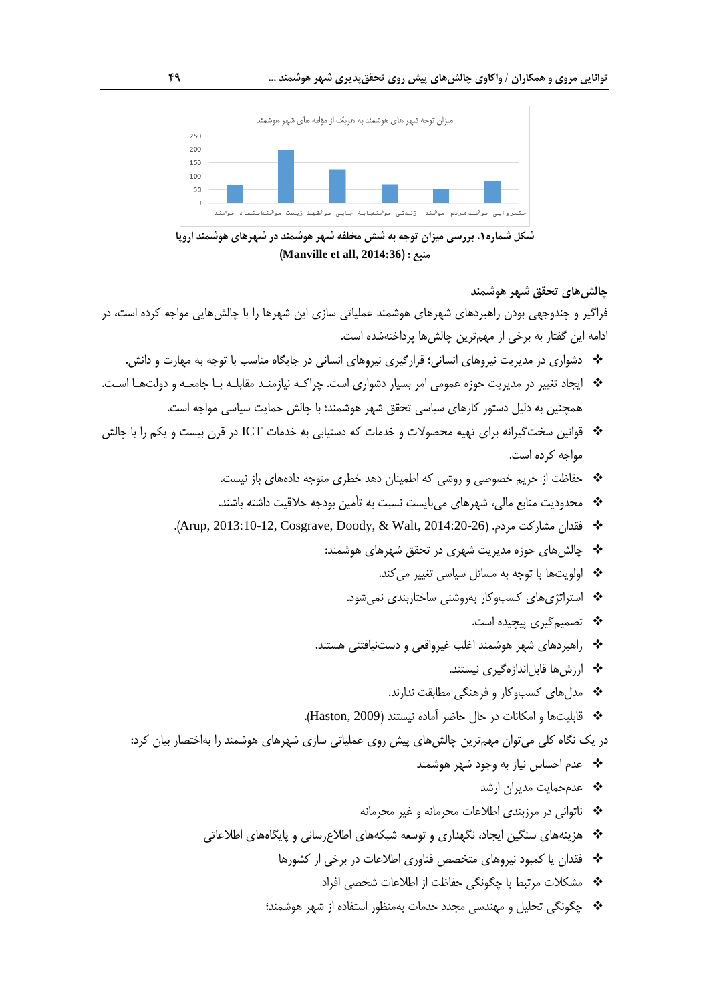

**شکل شماره.1 بررسی میزان توجه به شش مخلفه شهر هوشمند در شهرهای هوشمند اروپا )Manville et all, 2014:36( : منبع**

# فراگیر و چندوجهی بودن راهبردهای شهرهای هوشمند عملیاتی سازی این شهرها را با چالشهایی مواجه کرده است، در ادامه این گفتار به برخی از مهمترین چالشها پرداختهشده است.

- دشواری در مدیریت نیروهای انسانی؛ قرارگیری نیروهای انسانی در جایگاه مناسب با توجه به مهارت و دانش.
- ایجاد تغییر در مدیریت حوزه عمومی امر بسیار دشواری است. چراکـه نیازمنـد مقابلـه بـا جامعـه و دولتهـا اسـت. همچنین به دلیل دستور کارهای سیاسی تحقق شهر هوشمند؛ با چالش حمایت سیاسی مواجه است.
- قوانین سختگیرانه برای تهیه محصوالت و خدمات که دستیابی به خدمات ICT در قرن بیست و یکم را با چالش مواجه کرده است.
	- حفاظت از حریم خصوصی و روشی که اطمینان دهد خطری متوجه دادههای باز نیست.
	- محدودیت منابع مالی، شهرهای میبایست نسبت به تأمین بودجه خالقیت داشته باشند.
	- .)Arup, 2013:10-12, Cosgrave, Doody, & Walt, 2014:20-26( .مردم مشارکت فقدان
		- چالشهای حوزه مدیریت شهری در تحقق شهرهای هوشمند:

اولویتها با توجه به مسائل سیاسی تغییر میکند.

استراتژیهای کسبوکار بهروشنی ساختاربندی نمیشود.

تصمیمگیری پیچیده است.

**چالشهای تحقق شهر هوشمند**

- راهبردهای شهر هوشمند اغلب غیرواقعی و دستنیافتنی هستند.
	- ارزشها قابلاندازهگیری نیستند.
	- مدلهای کسبوکار و فرهنگی مطابقت ندارند.
- قابلیتها و امکانات در حال حاضر آماده نیستند )2009 ,Haston).

در یک نگاه کلی میتوان مهمترین چالشهای پیش روی عملیاتی سازی شهرهای هوشمند را بهاختصار بیان کرد:

- عدم احساس نیاز به وجود شهر هوشمند
	- عدمحمایت مدیران ارشد
- ناتوانی در مرزبندی اطالعات محرمانه و غیر محرمانه
- هزینههای سنگین ایجاد، نگهداری و توسعه شبکههای اطالعرسانی و پایگاههای اطالعاتی
	- فقدان یا کمبود نیروهای متخصص فناوری اطالعات در برخی از کشورها
		- \* مشکلات مرتبط با چگونگی حفاظت از اطلاعات شخصی افراد
	- چگونگی تحلیل و مهندسی مجدد خدمات بهمنظور استفاده از شهر هوشمند؛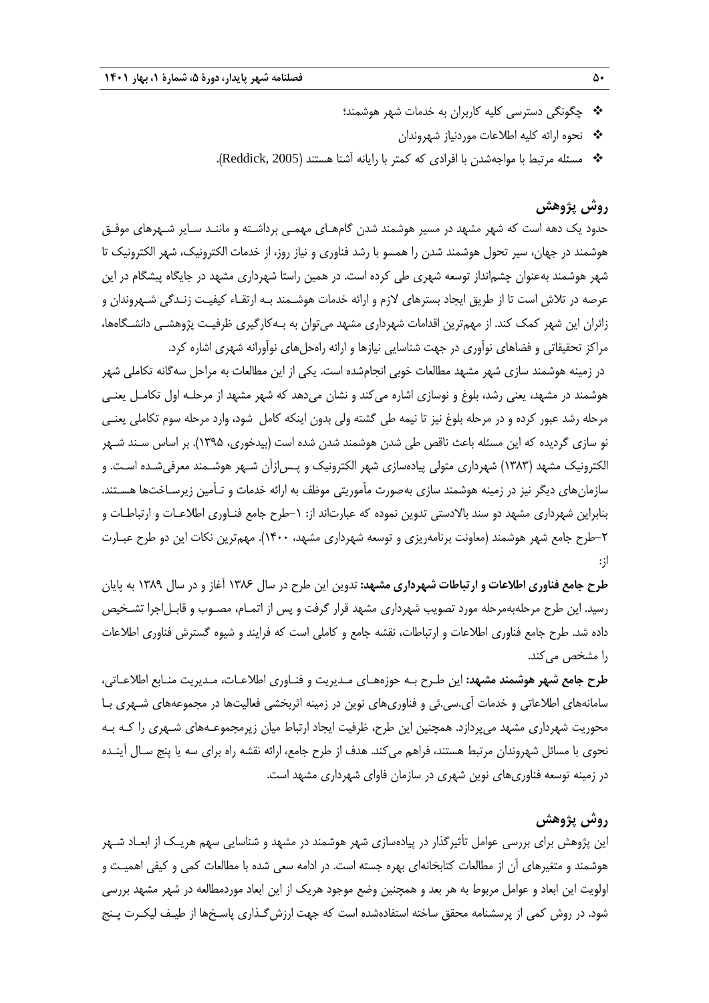- چگونگی دسترسی کلیه کاربران به خدمات شهر هوشمند؛
	- نحوه ارائه کلیه اطالعات موردنیاز شهروندان
- \* مسئله مرتبط با مواجهشدن با افرادی که کمتر با رایانه أشنا هستند (Reddick, 2005).

## **روش پژوهش**

حدود یک دهه است که شهر مشهد در مسیر هوشمند شدن گامهـای مهمـی برداشـته و ماننـد سـایر شـهرهای موفـق هوشمند در جهان، سیر تحول هوشمند شدن را همسو با رشد فناوری و نیاز روز، از خدمات الکترونیک، شهر الکترونیک تا شهر هوشمند بهعنوان چشمانداز توسعه شهری طی کرده است. در همین راستا شهرداری مشهد در جایگاه پیشگام در این عرصه در تالش است تا از طریق ایجاد بسترهای الزم و ارائه خدمات هوشـمند بـه ارتقـاء کیفیـت زنـدگی شـهروندان و زائران این شهر کمک کند. از مهمترین اقدامات شهرداری مشهد میتوان به بـهکارگیری ظرفیـت پژوهشـی دانشـگاهها، مراکز تحقیقاتی و فضاهای نوآوری در جهت شناسایی نیازها و ارائه راهحلهای نوآورانه شهری اشاره کرد.

در زمینه هوشمند سازی شهر مشهد مطالعات خوبی انجامشده است. یکی از این مطالعات به مراحل سهگانه تکاملی شهر هوشمند در مشهد، یعنی رشد، بلوغ و نوسازی اشاره میکند و نشان میدهد که شهر مشهد از مرحلـه اول تکامـل یعنـی مرحله رشد عبور کرده و در مرحله بلوغ نیز تا نیمه طی گشته ولی بدون اینکه کامل شود، وارد مرحله سوم تکاملی یعنـی نو سازی گردیده که این مسئله باعث ناقص طی شدن هوشمند شدن شده است (بیدخوری، ۱۳۹۵). بر اساس سـند شـهر الکترونیک مشهد )0313( شهرداری متولی پیادهسازی شهر الکترونیک و پـسازآن شـهر هوشـمند معرفیشـده اسـت. و سازمانهای دیگر نیز در زمینه هوشمند سازی بهصورت مأموریتی موظف به ارائه خدمات و تـأمین زیرسـاختها هسـتند. بنابراین شهرداری مشهد دو سند باالدستی تدوین نموده که عبارتاند از: -0طرح جامع فنـاوری اطالعـات و ارتباطـات و -5طرح جامع شهر هوشمند )معاونت برنامهریزی و توسعه شهرداری مشهد، 0111(. مهمترین نکات این دو طرح عبـارت از:

**طرح جامع فناوری اطالعات و ارتباطات شهرداری مشهد:** تدوین این طرح در سال 0311 آغاز و در سال 0313 به پایان رسید. این طرح مرحلهبهمرحله مورد تصویب شهرداری مشهد قرار گرفت و پس از اتمـام، مصـوب و قابـلاجرا تشـخیص داده شد. طرح جامع فناوری اطلاعات و ارتباطات، نقشه جامع و کاملی است که فرایند و شیوه گسترش فناوری اطلاعات را مشخص م*ی ک*ند.

**طرح جامع شهر هوشمند مشهد:** این طـرح بـه حوزههـای مـدیریت و فنـاوری اطالعـات، مـدیریت منـابع اطالعـاتی، سامانههای اطالعاتی و خدمات آی.سی.ئی و فناوریهای نوین در زمینه اثربخشی فعالیتها در مجموعههای شـهری بـا محوریت شهرداری مشهد میپردازد. همچنین این طرح، ظرفیت ایجاد ارتباط میان زیرمجموعـههای شـهری را کـه بـه نحوی با مسائل شهروندان مرتبط هستند، فراهم میکند. هدف از طرح جامع، ارائه نقشه راه برای سه یا پنج سـال آینـده در زمینه توسعه فناوریهای نوین شهری در سازمان فاوای شهرداری مشهد است.

### **روش پژوهش**

این پژوهش برای بررسی عوامل تأثیرگذار در پیادهسازی شهر هوشمند در مشهد و شناسایی سهم هریـک از ابعـاد شـهر هوشمند و متغیرهای آن از مطالعات کتابخانهای بهره جسته است. در ادامه سعی شده با مطالعات کمی و کیفی اهمیـت و اولویت این ابعاد و عوامل مربوط به هر بعد و همچنین وضع موجود هریک از این ابعاد موردمطالعه در شهر مشهد بررسی شود. در روش کمی از پرسشنامه محقق ساخته استفادهشده است که جهت ارزشگـذاری پاسـخها از طیـف لیکـرت پـن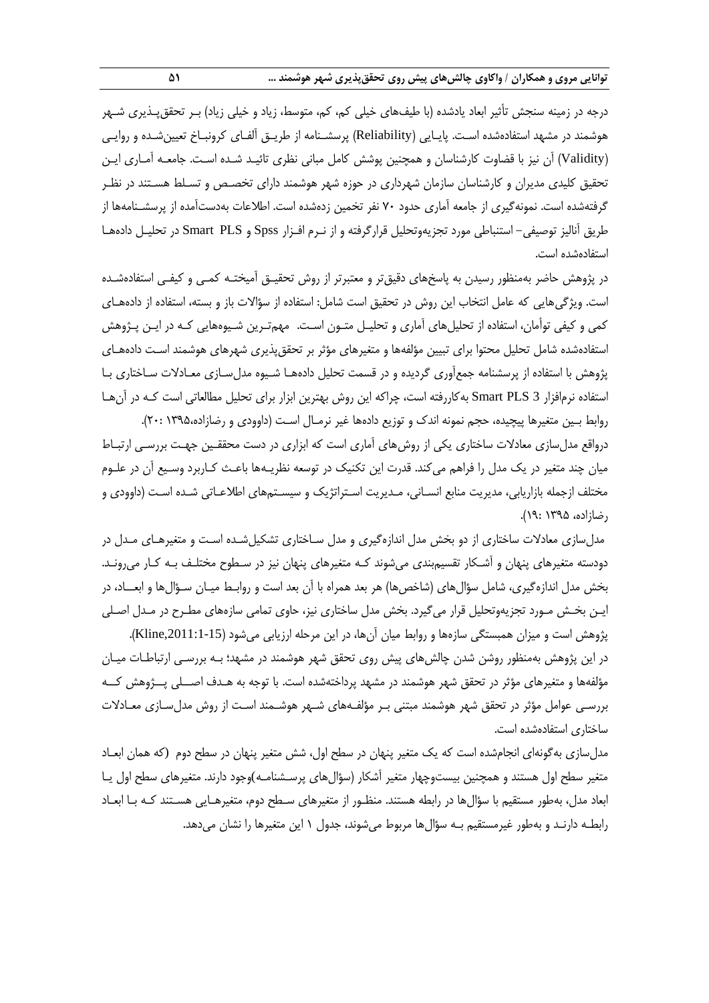درجه در زمینه سنجش تأثیر ابعاد یادشده (با طیفهای خیلی کم، کم، متوسط، زیاد و خیلی زیاد) بـر تحقق،پـذیری شـهر هوشمند در مشهد استفادهشده اسـت. پایـایی )Reliability )پرسشـنامه از طریـق آلفـای کرونبـاخ تعیینشـده و روایـی )Validity )آن نیز با قضاوت کارشناسان و همچنین پوشش کامل مبانی نظری تائیـد شـده اسـت. جامعـه آمـاری ایـن تحقیق کلیدی مدیران و کارشناسان سازمان شهرداری در حوزه شهر هوشمند دارای تخصـص و تسـلط هسـتند در نظـر گرفتهشده است. نمونهگیری از جامعه آماری حدود 71 نفر تخمین زدهشده است. اطالعات بهدستآمده از پرسشـنامهها از طریق آنالیز توصیفی- استنباطی مورد تجزیهوتحلیل قرارگرفته و از نـرم افـزار Spss و PLS Smart در تحلیـل دادههـا استفادهشده است.

در پژوهش حاضر بهمنظور رسیدن به پاسخهای دقیقتر و معتبرتر از روش تحقیـق آمیختـه کمـی و کیفـی استفادهشـده است. ویژگیهایی که عامل انتخاب این روش در تحقیق است شامل: استفاده از سؤاالت باز و بسته، استفاده از دادههـای کمی و کیفی توأمان، استفاده از تحلیلهای آماری و تحلیـل متـون اسـت. مهمتـرین شـیوههایی کـه در ایـن پـژوهش استفادهشده شامل تحلیل محتوا برای تبیین مؤلفهها و متغیرهای مؤثر بر تحققپذیری شهرهای هوشمند اسـت دادههـای پژوهش با استفاده از پرسشنامه جمعآوری گردیده و در قسمت تحلیل دادههـا شـیوه مدلسـازی معـادالت سـاختاری بـا استفاده نرمافزار 3 PLS Smart بهکاررفته است، چراکه این روش بهترین ابزار برای تحلیل مطالعاتی است کـه در آنهـا روابط بـین متغیرها پیچیده، حجم نمونه اندک و توزیع دادهها غیر نرمـال اسـت (داوودی و رضازاده،۱۳۹۵ :۲۰).

درواقع مدلسازی معادالت ساختاری یکی از روشهای آماری است که ابزاری در دست محققـین جهـت بررسـی ارتبـاط میان چند متغیر در یک مدل را فراهم میکند. قدرت این تکنیک در توسعه نظریـهها باعـث کـاربرد وسـیع آن در علـوم مختلف ازجمله بازاریابی، مدیریت منابع انسـانی، مـدیریت اسـتراتژیک و سیسـتمهای اطالعـاتی شـده اسـت )داوودی و رضازاده، 0332 03:(.

مدلسازی معادالت ساختاری از دو بخش مدل اندازهگیری و مدل سـاختاری تشکیلشـده اسـت و متغیرهـای مـدل در دودسته متغیرهای پنهان و آشـکار تقسیمبندی میشوند کـه متغیرهای پنهان نیز در سـطوح مختلـف بـه کـار میرونـد. بخش مدل اندازهگیری، شامل سؤال@ای (شاخصها) هر بعد همراه با آن بعد است و روابـط میـان سـؤال@ا و ابعــاد، در ایـن بخـش مـورد تجزیهوتحلیل قرار میگیرد. بخش مدل ساختاری نیز، حاوی تمامی سازههای مطـرح در مـدل اصـلی پژوهش است و میزان همبستگی سازهها و روابط میان آنها، در این مرحله ارزیابی میشود (Kline,2011:1-15). در این پژوهش بهمنظور روشن شدن چالشهای پیش روی تحقق شهر هوشمند در مشهد؛ بـه بررسـی ارتباطـات میـان مؤلفهها و متغیرهای مؤثر در تحقق شهر هوشمند در مشهد پرداختهشده است. با توجه به هـدف اصــلی پــژوهش کــه بررسـی عوامل مؤثر در تحقق شهر هوشمند مبتنی بـر مؤلفـههای شـهر هوشـمند اسـت از روش مدلسـازی معـادالت ساختاری استفادهشده است.

مدلسازی بهگونهای انجامشده است که یک متغیر پنهان در سطح اول، شش متغیر پنهان در سطح دوم (که همان ابعـاد متغیر سطح اول هستند و همچنین بیستوچهار متغیر آشکار (سؤال&ای پرسـشنامـه)وجود دارند. متغیرهای سطح اول یـا ابعاد مدل، بهطور مستقیم با سؤالها در رابطه هستند. منظـور از متغیرهای سـطح دوم، متغیرهـایی هسـتند کـه بـا ابعـاد رابطـه دارنـد و بهطور غیرمستقیم بـه سؤالها مربوط میشوند، جدول 0 این متغیرها را نشان میدهد.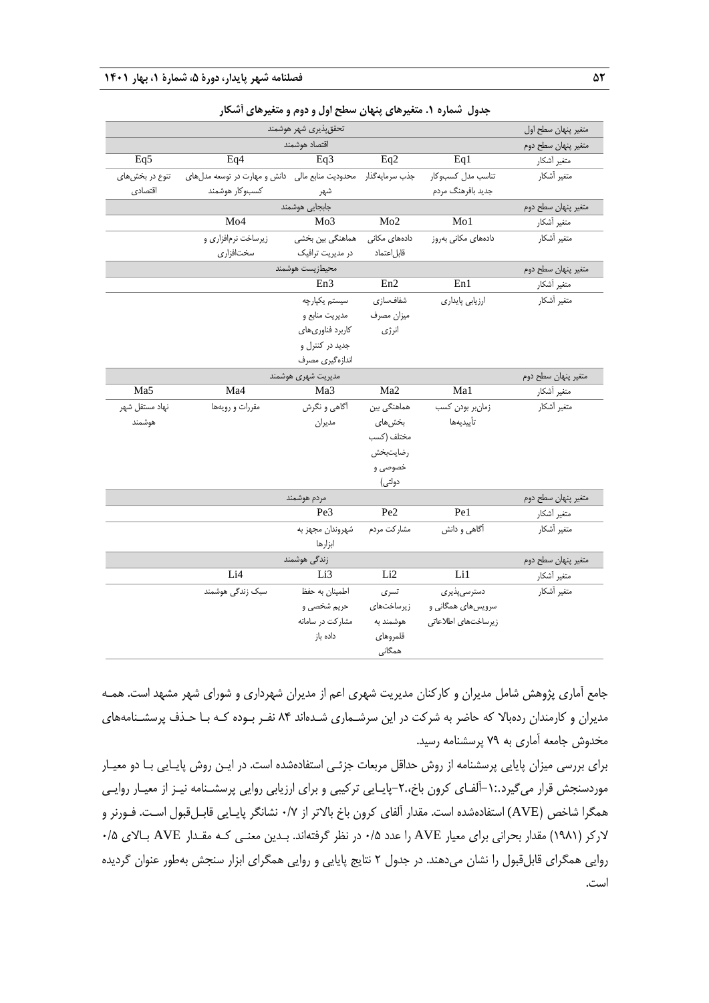|                    |                                                                  | تحقق پذیری شهر هوشمند |                       |                     | متغير پنهان سطح اول |
|--------------------|------------------------------------------------------------------|-----------------------|-----------------------|---------------------|---------------------|
|                    |                                                                  | اقتصاد هوشمند         |                       |                     | متغير پنهان سطح دوم |
| Eq5                | Eq4                                                              | Eq3                   | Eq2                   | Eq1                 | متغير أشكار         |
| تنوع در بخشهای     | جذب سرمایه گذار محدودیت منابع مالی دانش و مهارت در توسعه مدل های |                       |                       | تناسب مدل كسبوكار   | متغير أشكار         |
| اقتصادى            | كسبوكار هوشمند                                                   | شهر                   |                       | جديد بافرهنگ مردم   |                     |
|                    |                                                                  | جابجايي هوشمند        |                       |                     | متغير پنهان سطح دوم |
|                    | Mo4                                                              | Mo <sub>3</sub>       | Mo2                   | Mo1                 | متغير أشكار         |
|                    | زیرساخت نرمافزاری و                                              | هماهنگی بین بخشی      | دادەھا <i>ی</i> مکانی | دادههای مکانی بهروز | متغير أشكار         |
|                    | سختافزارى                                                        | در مدیریت ترافیک      | قابل اعتماد           |                     |                     |
|                    |                                                                  | محيطزيست هوشمند       |                       |                     | متغير پنهان سطح دوم |
|                    |                                                                  | En3                   | En2                   | En1                 | متغير أشكار         |
|                    |                                                                  | سيستم يكپارچه         | شفافسازى              | ارزيابي پايداري     | متغير أشكار         |
|                    |                                                                  | مديريت منابع و        | ميزان مصرف            |                     |                     |
|                    |                                                                  | كاربرد فناوري هاي     | انرژى                 |                     |                     |
|                    |                                                                  | جدید در کنترل و       |                       |                     |                     |
|                    |                                                                  | اندازهگیری مصرف       |                       |                     |                     |
| مديريت شهرى هوشمند |                                                                  |                       |                       |                     | متغير پنهان سطح دوم |
| Ma5                | Ma4                                                              | Ma3                   | Ma2                   | Ma1                 | متغير أشكار         |
| نهاد مستقل شهر     | مقررات و رويهها                                                  | أگاهي و نگرش          | هماهنگی بین           | زمان بر بودن كسب    | متغير أشكار         |
| هوشمند             |                                                                  | مديران                | بخشهای                | تأييديهها           |                     |
|                    |                                                                  |                       | مختلف (كسب            |                     |                     |
|                    |                                                                  |                       | رضايتبخش              |                     |                     |
|                    |                                                                  |                       | خصوصی و               |                     |                     |
|                    |                                                                  |                       | دولتى)                |                     |                     |
|                    |                                                                  | مردم هوشمند           |                       |                     | متغير پنهان سطح دوم |
|                    |                                                                  | Pe3                   | Pe <sub>2</sub>       | $P_{e1}$            | متغير أشكار         |
|                    |                                                                  | شهروندان مجهز به      | مشاركت مردم           | أگاهي و دانش        | متغير أشكار         |
|                    |                                                                  | ابزارها               |                       |                     |                     |
|                    |                                                                  | زندگی هوشمند          |                       |                     | متغير پنهان سطح دوم |
|                    | Li4                                                              | Li3                   | Li2                   | Li1                 | متغير أشكار         |
|                    | سبک زندگی هوشمند                                                 | اطمينان به حفظ        | تسرى                  | دسترسىپذيرى         | متغير أشكار         |
|                    |                                                                  | حريم شخصي و           | زیرساختها <i>ی</i>    | سرویس های همگانی و  |                     |
|                    |                                                                  | مشارکت در سامانه      | هوشمند به             | زيرساختهاى اطلاعاتى |                     |
|                    |                                                                  | داده باز              | قلمروهاي              |                     |                     |
|                    |                                                                  |                       | همگانی                |                     |                     |

### **جدول شماره .1 متغیرهای پنهان سطح اول و دوم و متغیرهای آشکار**

جامع آماری پژوهش شامل مدیران و کارکنان مدیریت شهری اعم از مدیران شهرداری و شورای شهر مشهد است. همـه مدیران و کارمندان ردهبالا که حاضر به شرکت در این سرشـماری شـدهاند ۸۴ نفـر بـوده کـه بـا حـذف پرسشـنامههای مخدوش جامعه آماری به 73 پرسشنامه رسید.

برای بررسی میزان پایایی پرسشنامه از روش حداقل مربعات جزئـی استفادهشده است. در ایـن روش پایـایی بـا دو معیـار موردسنجش قرار میگیرد-0:.آلفـای کرون باخ-5.،پایـایی ترکیبی و برای ارزیابی روایی پرسشـنامه نیـز از معیـار روایـی همگرا شاخص (AVE) استفادهشده است. مقدار آلفای کرون باخ بالاتر از ۰/۷ نشانگر پایـایی قابـلقبول اسـت. فـورنر و الرکر )0310( مقدار بحرانی برای معیار AVE را عدد 1/2 در نظر گرفتهاند. بـدین معنـی کـه مقـدار AVE بـاالی 1/2 روایی همگرای قابلقبول را نشان میدهند. در جدول 5 نتای پایایی و روایی همگرای ابزار سنجش بهطور عنوان گردیده است.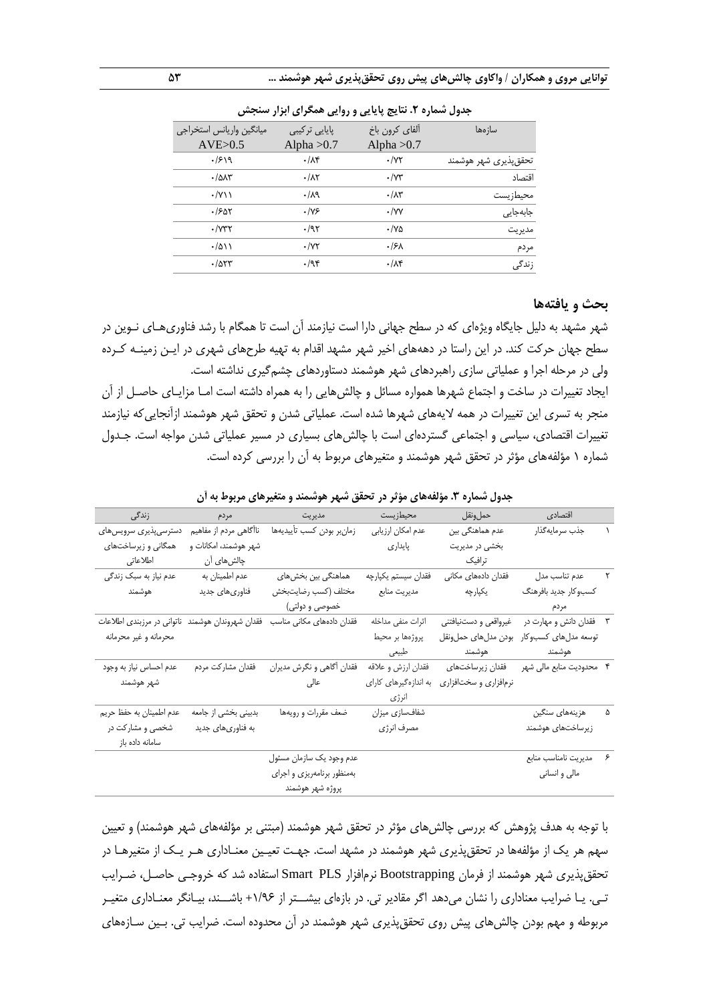| ساز مها               | ألفاي كرون باخ         | پایایی ترکیبی          | ميانگين واريانس استخراجي |
|-----------------------|------------------------|------------------------|--------------------------|
|                       | Alpha $>0.7$           | Alpha $>0.7$           | AVE>0.5                  |
| تحقق پذیری شهر هوشمند | $\cdot$ / $\gamma\tau$ | $\cdot/\lambda$ ۴      | .1919                    |
| اقتصاد                | $\cdot$ / $\vee\tau$   | $\cdot/\lambda\tau$    | $\cdot$ / $\Delta$       |
| محيطزيست              | $\cdot/\lambda$ ۳      | .14                    | $\cdot$ /Y \ \           |
| جابەجايى              | $\cdot$ /yy            | .195                   | .1507                    |
| مديريت                | $\cdot$ /YA            | .797                   | $\cdot$ / $\gamma$ ۳۲    |
| مردم                  | .15 <sub>A</sub>       | $\cdot$ / $\gamma\tau$ | $\cdot/\Delta$           |
| زندگی                 | $\cdot/\lambda$ ۴      | .795                   | $\cdot$ /953             |
|                       |                        |                        |                          |

**جدول شماره .2 نتایج پایایی و روایی همگرای ابزار سنجش**

#### **بحث و یافتهها**

شهر مشهد به دلیل جایگاه ویژهای که در سطح جهانی دارا است نیازمند آن است تا همگام با رشد فناوریهـای نـوین در سطح جهان حرکت کند. در این راستا در دهههای اخیر شهر مشهد اقدام به تهیه طرحهای شهری در ایـن زمینـه کـرده ولی در مرحله اجرا و عملیاتی سازی راهبردهای شهر هوشمند دستاوردهای چشمگیری نداشته است. ایجاد تغییرات در ساخت و اجتماع شهرها همواره مسائل و چالشهایی را به همراه داشته است امـا مزایـای حاصـل از آن منجر به تسری این تغییرات در همه الیههای شهرها شده است. عملیاتی شدن و تحقق شهر هوشمند ازآنجاییکه نیازمند تغییرات اقتصادی، سیاسی و اجتماعی گستردهای است با چالشهای بسیاری در مسیر عملیاتی شدن مواجه است. جـدول شماره 0 مؤلفههای مؤثر در تحقق شهر هوشمند و متغیرهای مربوط به آن را بررسی کرده است.

| زندگی                                            | مردم                   | مديريت                     | محيطزيست              | حمل ونقل              | اقتصادى                   |  |
|--------------------------------------------------|------------------------|----------------------------|-----------------------|-----------------------|---------------------------|--|
| دسترسىپذيرى سرويس هاى                            | ناآگاهی مردم از مفاهیم | زمان بودن كسب تأييديهها    | عدم امكان ارزيابي     | عدم هماهنگی بین       | جذب سرمايه گذار           |  |
| همگانی و زیرساختهای                              | شهر هوشمند، امكانات و  |                            | پايدارى               | بخشی در مدیریت        |                           |  |
| اطلاعاتى                                         | چالش های آن            |                            |                       | ترافيك                |                           |  |
| عدم نیاز به سبک زندگی                            | عدم اطمينان به         | هماهنگی بین بخشهای         | فقدان سيستم يكپارچه   | فقدان دادههای مکانی   | عدم تناسب مدل             |  |
| هوشمند                                           | فناوري هاي جديد        | مختلف (كسب رضايتبخش        | مديريت منابع          | يكپارچه               | كسبوكار جديد بافرهنگ      |  |
|                                                  |                        | خصوصی و دولتی)             |                       |                       | مردم                      |  |
| فقدان شهروندان هوشمند ناتوانی در مرزبندی اطلاعات |                        | فقدان دادههای مکانی مناسب  | اثرات منفى مداخله     | غيرواقعي و دستنيافتني | فقدان دانش و مهارت در     |  |
| محرمانه و غیر محرمانه                            |                        |                            | پروژەها بر محيط       | بودن مدل هاى حمل ونقل | توسعه مدلهای کسبوکار      |  |
|                                                  |                        |                            | طبيعي                 | هوشمند                | هوشمند                    |  |
| عدم احساس نياز به وجود                           | فقدان مشاركت مردم      | فقدان أگاهي و نگرش مديران  | فقدان ارزش و علاقه    | فقدان زيرساختهاى      | ۴٪ محدودیت منابع مالی شهر |  |
| شهر هوشمند                                       |                        | عالی                       | به اندازهگیرهای کارای | نرمافزاري و سختافزاري |                           |  |
|                                                  |                        |                            | انرژی                 |                       |                           |  |
| عدم اطمينان به حفظ حريم                          | بدبینی بخشی از جامعه   | ضعف مقررات و رويهها        | شفافسازى ميزان        |                       | هزینههای سنگین            |  |
| شخصی و مشارکت در                                 | به فناوریهای جدید      |                            | مصرف انرژى            |                       | زيرساختهاى هوشمند         |  |
| سامانه داده باز                                  |                        |                            |                       |                       |                           |  |
|                                                  |                        | عدم وجود يک سازمان مسئول   |                       |                       | مديريت نامناسب منابع      |  |
|                                                  |                        | بهمنظور برنامهريزي و اجراي |                       |                       | مالی و انسانی             |  |
|                                                  |                        | پروژه شهر هوشمند           |                       |                       |                           |  |

**جدول شماره .3 مؤلفههای مؤثر در تحقق شهر هوشمند و متغیرهای مربوط به آن**

با توجه به هدف پژوهش که بررسی چالشهای مؤثر در تحقق شهر هوشمند (مبتنی بر مؤلفههای شهر هوشمند) و تعیین سهم هر یک از مؤلفهها در تحققپذیری شهر هوشمند در مشهد است. جهـت تعیـین معنـاداری هـر یـک از متغیرهـا در تحققپذیری شهر هوشمند از فرمان Bootstrapping نرمافزار PLS Smart استفاده شد که خروجـی حاصـل، ضـرایب تـی. یـا ضرایب معناداری را نشان میدهد اگر مقادیر تی. در بازهای بیشــتر از +0/31 باشــند، بیـانگر معنـاداری متغیـر مربوطه و مهم بودن چالشهای پیش روی تحققپذیری شهر هوشمند در آن محدوده است. ضرایب تی. بـین سـازههای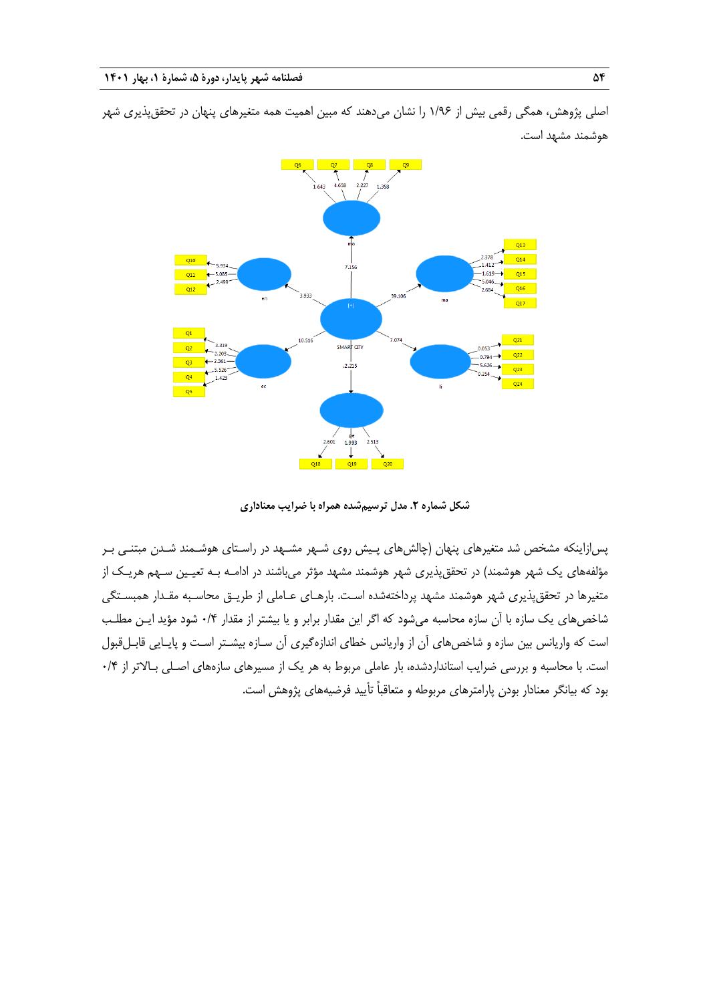

اصلی پژوهش، همگی رقمی بیش از 0/31 را نشان میدهند که مبین اهمیت همه متغیرهای پنهان در تحققپذیری شهر هوشمند مشهد است.

**شکل شماره .2 مدل ترسیمشده همراه با ضرایب معناداری**

پسازاینکه مشخص شد متغیرهای پنهان )چالشهای پـیش روی شـهر مشـهد در راسـتای هوشـمند شـدن مبتنـی بـر مؤلفههای یک شهر هوشمند) در تحقق،ذیری شهر هوشمند مشهد مؤثر میباشند در ادامـه بـه تعیـین سـهم هریـک از متغیرها در تحققپذیری شهر هوشمند مشهد پرداختهشده اسـت. بارهـای عـاملی از طریـق محاسـبه مقـدار همبسـتگی شاخصهای یک سازه با آن سازه محاسبه میشود که اگر این مقدار برابر و یا بیشتر از مقدار 1/1 شود مؤید ایـن مطلـب است که واریانس بین سازه و شاخصهای آن از واریانس خطای اندازهگیری آن سـازه بیشـتر اسـت و پایـایی قابـلقبول است. با محاسبه و بررسی ضرایب استانداردشده، بار عاملی مربوط به هر یک از مسیرهای سازههای اصـلی بـالاتر از ۰/۴ بود که بیانگر معنادار بودن پارامترهای مربوطه و متعاقباً تأیید فرضیههای پژوهش است.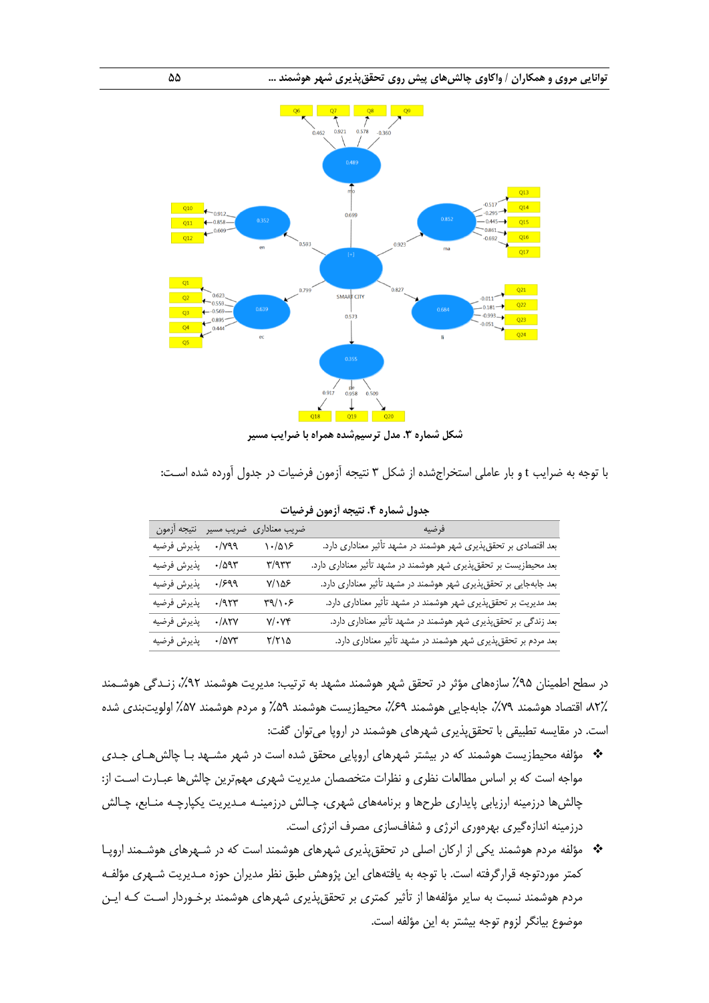

**شکل شماره .3 مدل ترسیمشده همراه با ضرایب مسیر**

با توجه به ضرایب t و بار عاملی استخراجشده از شکل 3 نتیجه آزمون فرضیات در جدول آورده شده اسـت:

|             |                       | ضريب معناداري ضريب مسير نتيجه أزمون | فرضيه                                                              |
|-------------|-----------------------|-------------------------------------|--------------------------------------------------------------------|
| پذيرش فرضيه | $\cdot$ / $\gamma$ 99 | $\binom{1-\alpha}{2}$               | بعد اقتصادی بر تحققپذیری شهر هوشمند در مشهد تأثیر معناداری دارد.   |
| پذيرش فرضيه | $\cdot/\Delta$ 95     | $\Upsilon/\Upsilon\Upsilon\Upsilon$ | بعد محیطزیست بر تحقق پذیری شهر هوشمند در مشهد تأثیر معناداری دارد. |
| پذيرش فرضيه | .1999                 | $Y/\lambda\Delta F$                 | بعد جابهجایی بر تحقق پذیری شهر هوشمند در مشهد تأثیر معناداری دارد. |
| پذيرش فرضيه | $-19.77$              | $\Gamma(\lambda)$                   | بعد مدیریت بر تحققپذیری شهر هوشمند در مشهد تأثیر معناداری دارد.    |
| پذيرش فرضيه | $\cdot/\lambda$ ۲۷    | $Y/\cdot Y^c$                       | بعد زندگی بر تحقق پذیری شهر هوشمند در مشهد تأثیر معناداری دارد.    |
| پذيرش فرضيه | $\cdot/\Delta VT$     | $Y/Y \setminus \Delta$              | بعد مردم بر تحقق پذیری شهر هوشمند در مشهد تأثیر معناداری دارد.     |
|             |                       |                                     |                                                                    |

| جدول شماره ۴. نتیجه آزمون فرضیات |  |  |  |
|----------------------------------|--|--|--|
|----------------------------------|--|--|--|

در سطح اطمینان %32 سازههای مؤثر در تحقق شهر هوشمند مشهد به ترتیب: مدیریت هوشمند ،%35 زنـدگی هوشـمند ،15٪، اقتصاد هوشمند ۷۹٪، جابهجایی هوشمند ۶۹٪، محیطزیست هوشمند ۵۹٪ و مردم هوشمند ۵۷٪ اولویتبندی شده است. در مقایسه تطبیقی با تحققپذیری شهرهای هوشمند در اروپا میتوان گفت:

- \* مؤلفه محیطزیست هوشمند که در بیشتر شهرهای اروپایی محقق شده است در شهر مشـهد بـا چالشهـای جـدی مواجه است که بر اساس مطالعات نظری و نظرات متخصصان مدیریت شهری مهمترین چالشها عبـارت اسـت از: چالشها درزمینه ارزیابی پایداری طرحها و برنامههای شهری، چـالش درزمینـه مـدیریت یکپارچـه منـابع، چـالش درزمینه اندازهگیری بهرهوری انرژی و شفافسازی مصرف انرژی است.
- مؤلفه مردم هوشمند یکی از ارکان اصلی در تحققپذیری شهرهای هوشمند است که در شـهرهای هوشـمند اروپـا کمتر موردتوجه قرارگرفته است. با توجه به یافتههای این پژوهش طبق نظر مدیران حوزه مـدیریت شـهری مؤلفـه مردم هوشمند نسبت به سایر مؤلفهها از تأثیر کمتری بر تحققپذیری شهرهای هوشمند برخـوردار اسـت کـه ایـن موضوع بیانگر لزوم توجه بیشتر به این مؤلفه است.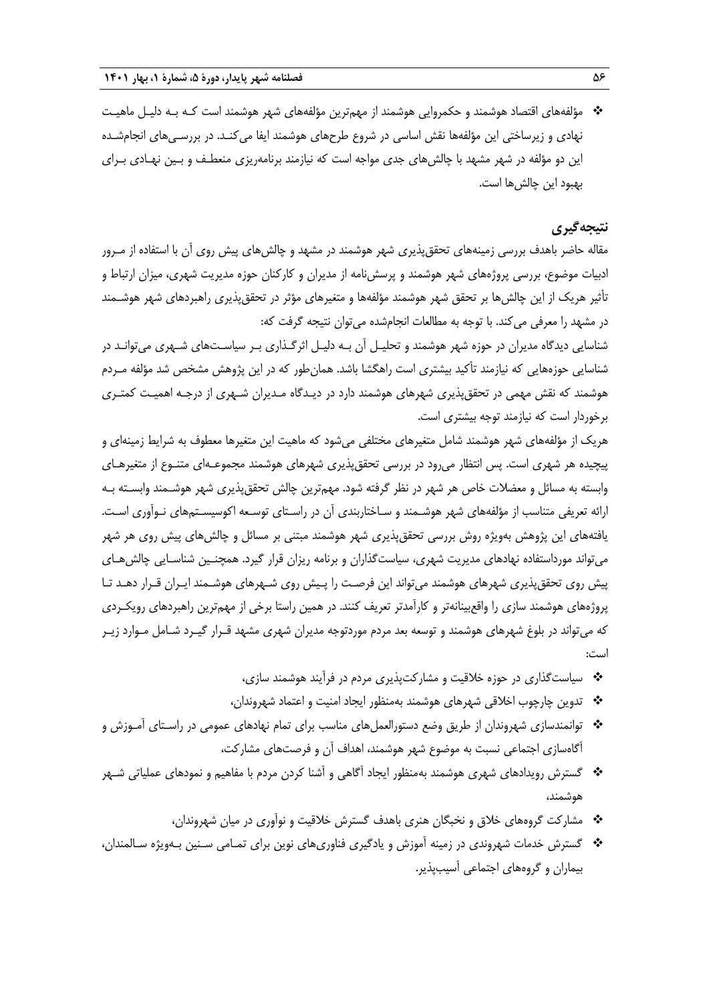مؤلفههای اقتصاد هوشمند و حکمروایی هوشمند از مهمترین مؤلفههای شهر هوشمند است کـه بـه دلیـل ماهیـت نهادی و زیرساختی این مؤلفهها نقش اساسی در شروع طرحهای هوشمند ایفا میکنـد. در بررسـیهای انجامشـده این دو مؤلفه در شهر مشهد با چالشهای جدی مواجه است که نیازمند برنامهریزی منعطـف و بـین نهـادی بـرای بهبود این چالشها است.

## **نتیجهگیری**

مقاله حاضر باهدف بررسی زمینههای تحققپذیری شهر هوشمند در مشهد و چالشهای پیش روی آن با استفاده از مـرور ادبیات موضوع، بررسی پروژههای شهر هوشمند و پرسشنامه از مدیران و کارکنان حوزه مدیریت شهری، میزان ارتباط و تأثیر هریک از این چالشها بر تحقق شهر هوشمند مؤلفهها و متغیرهای مؤثر در تحققپذیری راهبردهای شهر هوشـمند در مشهد را معرفی میکند. با توجه به مطالعات انجامشده میتوان نتیجه گرفت که:

شناسایی دیدگاه مدیران در حوزه شهر هوشمند و تحلیـل آن بـه دلیـل اثرگـذاری بـر سیاسـتهای شـهری میتوانـد در شناسایی حوزههایی که نیازمند تأکید بیشتری است راهگشا باشد. همانطور که در این پژوهش مشخص شد مؤلفه مـردم هوشمند که نقش مهمی در تحققپذیری شهرهای هوشمند دارد در دیـدگاه مـدیران شـهری از درجـه اهمیـت کمتـری برخوردار است که نیازمند توجه بیشتری است.

هریک از مؤلفههای شهر هوشمند شامل متغیرهای مختلفی می شود که ماهیت این متغیرها معطوف به شرایط زمینهای و پیچیده هر شهری است. پس انتظار میرود در بررسی تحققپذیری شهرهای هوشمند مجموعـهای متنـوع از متغیرهـای وابسته به مسائل و معضالت خاص هر شهر در نظر گرفته شود. مهمترین چالش تحققپذیری شهر هوشـمند وابسـته بـه ارائه تعریفی متناسب از مؤلفههای شهر هوشـمند و سـاختاربندی آن در راسـتای توسـعه اکوسیسـتمهای نـوآوری اسـت. یافتههای این پژوهش بهویژه روش بررسی تحققپذیری شهر هوشمند مبتنی بر مسائل و چالشهای پیش روی هر شهر میتواند مورداستفاده نهادهای مدیریت شهری، سیاستگذاران و برنامه ریزان قرار گیرد. همچنـین شناسـایی چالشهـای پیش روی تحققپذیری شهرهای هوشمند میتواند این فرصـت را پـیش روی شـهرهای هوشـمند ایـران قـرار دهـد تـا پروژههای هوشمند سازی را واقعبینانهتر و کارآمدتر تعریف کنند. در همین راستا برخی از مهمترین راهبردهای رویکـردی که میتواند در بلوغ شهرهای هوشمند و توسعه بعد مردم موردتوجه مدیران شهری مشهد قـرار گیـرد شـامل مـوارد زیـر است:

- سیاستگذاری در حوزه خالقیت و مشارکتپذیری مردم در فرآیند هوشمند سازی،
- تدوین چارچوب اخالقی شهرهای هوشمند بهمنظور ایجاد امنیت و اعتماد شهروندان،
- توانمندسازی شهروندان از طریق وضع دستورالعملهای مناسب برای تمام نهادهای عمومی در راسـتای آمـوزش و آگاهسازی اجتماعی نسبت به موضوع شهر هوشمند، اهداف آن و فرصتهای مشارکت،
- گسترش رویدادهای شهری هوشمند بهمنظور ایجاد آگاهی و آشنا کردن مردم با مفاهیم و نمودهای عملیاتی شـهر هوشمند،
	- مشارکت گروههای خالق و نخبگان هنری باهدف گسترش خالقیت و نوآوری در میان شهروندان،
- گسترش خدمات شهروندی در زمینه آموزش و یادگیری فناوریهای نوین برای تمـامی سـنین بـهویژه سـالمندان، بیماران و گروههای اجتماعی آسیبپذیر.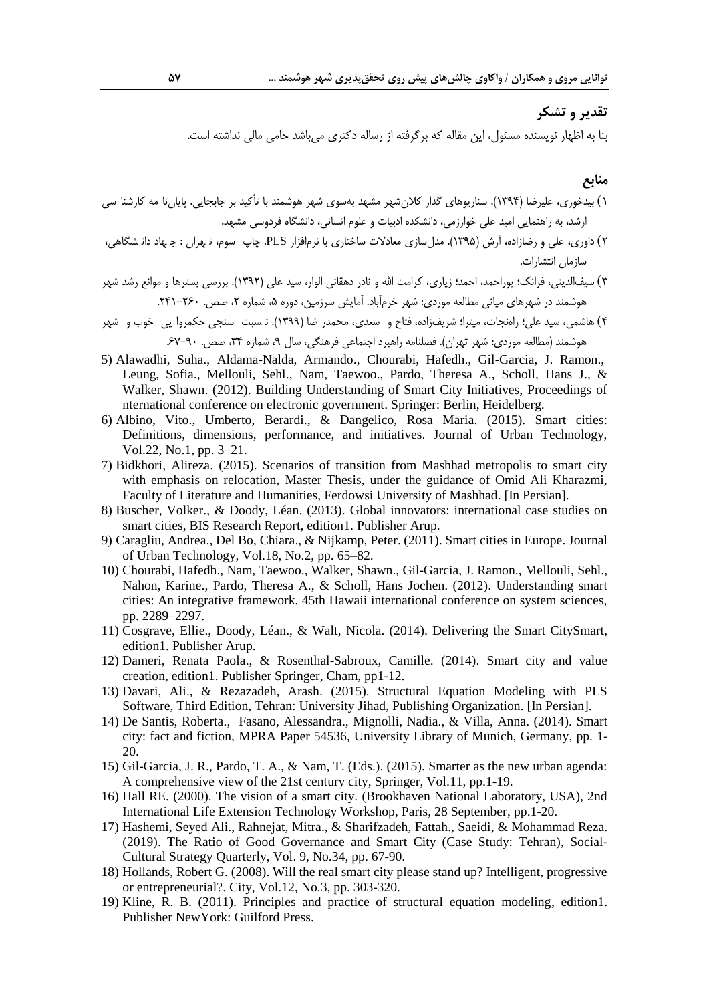## **تقدیر و تشکر**

بنا به اظهار نویسنده مسئول، این مقاله که برگرفته از رساله دکتری میباشد حامی مالی نداشته است.

#### **منابع**

- 0( بیدخوری، علیرضا )0331(. سناریوهای گذار کالنشهر مشهد بهسوی شهر هوشمند با تأکید بر جابجایی. پایان منامـه کارشنا سکارشناسـی ارشد، به راهنمایی امید علی خوارزمی، دانشکده ادبیات و علوم انسانی، دانشگاه فردوسی مشهد.
- 5( داوری، علی و رضازاده، آرش )0332(. مدلسازی معادالت ساختاری با نرمافزار PLS. چاپ سوم، ت هران سـوم، تهـران : هجهـاد دان شگاهیدانشـگاهی، سازمان انتشارات.
- 3( سیفالدینی، فرانک؛ پوراحمد، احمد؛ زیاری، کرامت اهلل و نادر دهقانی الوار، سید علی )0335(. بررسی بسترها و موانع رشد شهر هوشمند در شهرهای میانی مطالعه موردی: شهر خرمآباد. آمایش سرزمین، دوره ۵، شماره ۲، صص. ۲۶۰–۲۴۱.
- ۴) هاشمی، سید علی؛ راهنجات، میترا؛ شریفزاده، فتاح و سعدی، محمدر ضا (۱۳۹۹). نـ سبت سنجی حکمروا یی خوب و شهر هوشمند (مطالعه موردی: شهر تهران). فصلنامه راهبرد اجتماعی فرهنگی، سال ۹، شماره ۳۴، صص. ۹۰-۶۷.
- 5) Alawadhi, Suha., Aldama-Nalda, Armando., Chourabi, Hafedh., Gil-Garcia, J. Ramon., Leung, Sofia., Mellouli, Sehl., Nam, Taewoo., Pardo, Theresa A., Scholl, Hans J., & Walker, Shawn. (2012). Building Understanding of Smart City Initiatives, Proceedings of nternational conference on electronic government. Springer: Berlin, Heidelberg.
- 6) Albino, Vito., Umberto, Berardi., & Dangelico, Rosa Maria. (2015). Smart cities: Definitions, dimensions, performance, and initiatives. Journal of Urban Technology, Vol.22, No.1, pp. 3–21.
- 7) Bidkhori, Alireza. (2015). Scenarios of transition from Mashhad metropolis to smart city with emphasis on relocation, Master Thesis, under the guidance of Omid Ali Kharazmi, Faculty of Literature and Humanities, Ferdowsi University of Mashhad. [In Persian].
- 8) Buscher, Volker., & Doody, Léan. (2013). Global innovators: international case studies on smart cities, BIS Research Report, edition1. Publisher Arup.
- 9) Caragliu, Andrea., Del Bo, Chiara., & Nijkamp, Peter. (2011). Smart cities in Europe. Journal of Urban Technology, Vol.18, No.2, pp. 65–82.
- 10) Chourabi, Hafedh., Nam, Taewoo., Walker, Shawn., Gil-Garcia, J. Ramon., Mellouli, Sehl., Nahon, Karine., Pardo, Theresa A., & Scholl, Hans Jochen. (2012). Understanding smart cities: An integrative framework. 45th Hawaii international conference on system sciences, pp. 2289–2297.
- 11) Cosgrave, Ellie., Doody, Léan., & Walt, Nicola. (2014). Delivering the Smart CitySmart, edition1. Publisher Arup.
- 12) Dameri, Renata Paola., & Rosenthal-Sabroux, Camille. (2014). Smart city and value creation, edition1. Publisher Springer, Cham, pp1-12.
- 13) Davari, Ali., & Rezazadeh, Arash. (2015). Structural Equation Modeling with PLS Software, Third Edition, Tehran: University Jihad, Publishing Organization. [In Persian].
- 14) De Santis, Roberta., Fasano, Alessandra., Mignolli, Nadia., & Villa, Anna. (2014). Smart city: fact and fiction, MPRA Paper 54536, University Library of Munich, Germany, pp. 1- 20.
- 15) Gil-Garcia, J. R., Pardo, T. A., & Nam, T. (Eds.). (2015). Smarter as the new urban agenda: A comprehensive view of the 21st century city, Springer, Vol.11, pp.1-19.
- 16) Hall RE. (2000). The vision of a smart city. (Brookhaven National Laboratory, USA), 2nd International Life Extension Technology Workshop, Paris, 28 September, pp.1-20.
- 17) Hashemi, Seyed Ali., Rahnejat, Mitra., & Sharifzadeh, Fattah., Saeidi, & Mohammad Reza. (2019). The Ratio of Good Governance and Smart City (Case Study: Tehran), Social-Cultural Strategy Quarterly, Vol. 9, No.34, pp. 67-90.
- 18) Hollands, Robert G. (2008). Will the real smart city please stand up? Intelligent, progressive or entrepreneurial?. City, Vol.12, No.3, pp. 303-320.
- 19) Kline, R. B. (2011). Principles and practice of structural equation modeling, edition1. Publisher NewYork: Guilford Press.